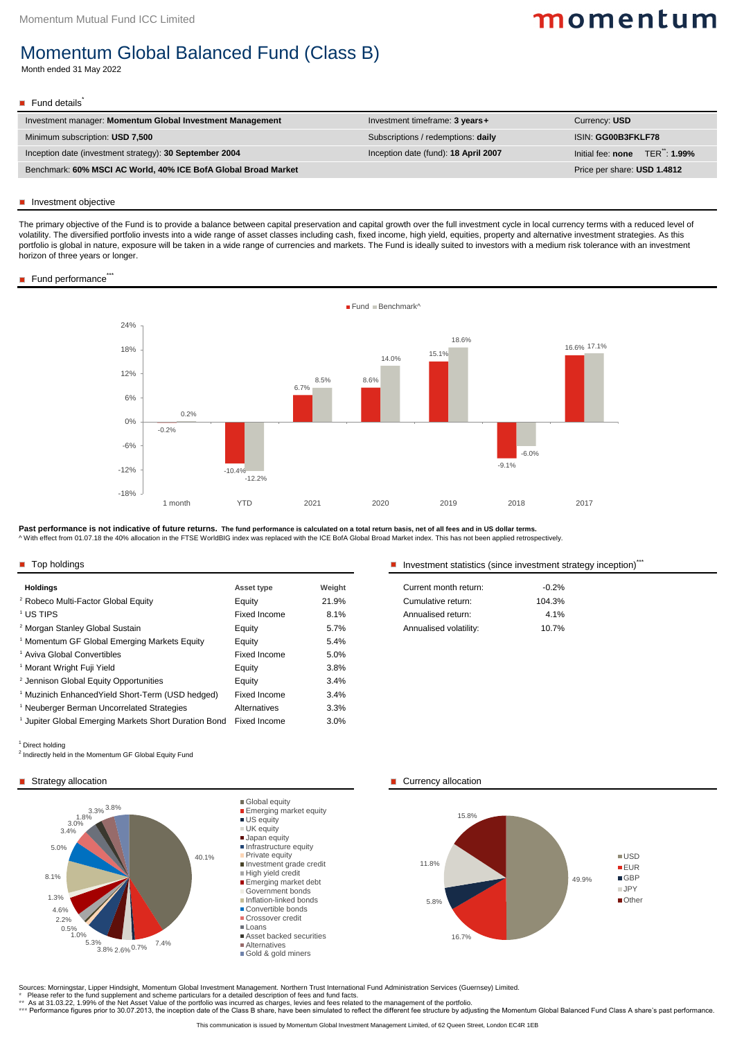| <b>Holdings</b>                                              | <b>Asset type</b>   | Weight | Current month return:  | $-0.2%$ |
|--------------------------------------------------------------|---------------------|--------|------------------------|---------|
| <sup>2</sup> Robeco Multi-Factor Global Equity               | Equity              | 21.9%  | Cumulative return:     | 104.3%  |
| <sup>1</sup> US TIPS                                         | <b>Fixed Income</b> | 8.1%   | Annualised return:     | 4.1%    |
| <sup>2</sup> Morgan Stanley Global Sustain                   | Equity              | 5.7%   | Annualised volatility: | 10.7%   |
| <sup>1</sup> Momentum GF Global Emerging Markets Equity      | Equity              | 5.4%   |                        |         |
| <sup>1</sup> Aviva Global Convertibles                       | <b>Fixed Income</b> | 5.0%   |                        |         |
| <sup>1</sup> Morant Wright Fuji Yield                        | Equity              | 3.8%   |                        |         |
| <sup>2</sup> Jennison Global Equity Opportunities            | Equity              | 3.4%   |                        |         |
| <sup>1</sup> Muzinich Enhanced Yield Short-Term (USD hedged) | Fixed Income        | 3.4%   |                        |         |
| <sup>1</sup> Neuberger Berman Uncorrelated Strategies        | <b>Alternatives</b> | 3.3%   |                        |         |
| Jupiter Global Emerging Markets Short Duration Bond          | <b>Fixed Income</b> | 3.0%   |                        |         |
|                                                              |                     |        |                        |         |

■ Top holdings Top holdings Top holdings Top Theorem investment statistics (since investment strategy inception)<sup>\*\*\*</sup>

\*\* As at 31.03.22, 1.99% of the Net Asset Value of the portfolio was incurred as charges, levies and fees related to the management of the portfolio.

\*\*\* Performance figures prior to 30.07.2013, the inception date of the Class B share, have been simulated to reflect the different fee structure by adjusting the Momentum Global Balanced Fund Class A share's past performan

**Past performance is not indicative of future returns. The fund performance is calculated on a total return basis, net of all fees and in US dollar terms.**  ^ With effect from 01.07.18 the 40% allocation in the FTSE WorldBIG index was replaced with the ICE BofA Global Broad Market index. This has not been applied retrospectively.

This communication is issued by Momentum Global Investment Management Limited, of 62 Queen Street, London EC4R 1EB

#### Strategy allocation

\* Please refer to the fund supplement and scheme particulars for a detailed description of fees and fund facts.

| Investment timeframe: 3 years +      | Currency: USD                 |
|--------------------------------------|-------------------------------|
| Subscriptions / redemptions: daily   | <b>ISIN: GG00B3FKLF78</b>     |
| Inception date (fund): 18 April 2007 | Initial fee: none TER": 1.99% |
|                                      | Price per share: USD 1.4812   |
|                                      |                               |

| Current month return:  | $-0.2\%$ |
|------------------------|----------|
| Cumulative return:     | 104.3%   |
| Annualised return:     | $4.1\%$  |
| Annualised volatility: | $10.7\%$ |

#### <sup>1</sup> Direct holding

<sup>2</sup> Indirectly held in the Momentum GF Global Equity Fund

Sources: Morningstar, Lipper Hindsight, Momentum Global Investment Management. Northern Trust International Fund Administration Services (Guernsey) Limited.

#### Currency allocation

# momentum

Month ended 31 May 2022

#### $\blacksquare$  Fund details

#### Investment objective

The primary objective of the Fund is to provide a balance between capital preservation and capital growth over the full investment cycle in local currency terms with a reduced level of volatility. The diversified portfolio invests into a wide range of asset classes including cash, fixed income, high yield, equities, property and alternative investment strategies. As this portfolio is global in nature, exposure will be taken in a wide range of currencies and markets. The Fund is ideally suited to investors with a medium risk tolerance with an investment horizon of three years or longer.

### Fund performance\*\*\*

## Momentum Global Balanced Fund (Class B)